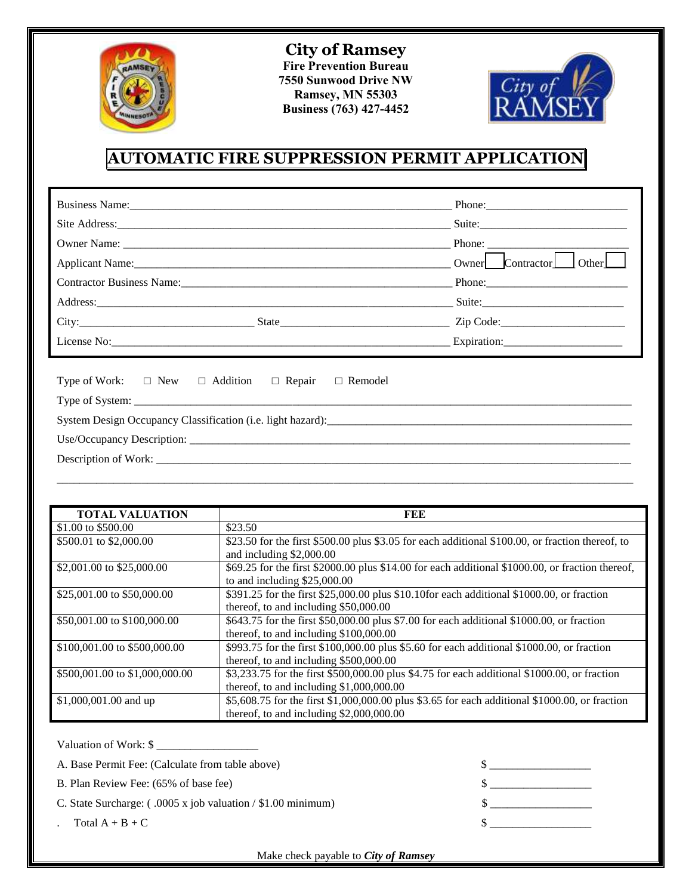

**City of Ramsey Fire Prevention Bureau 7550 Sunwood Drive NW Ramsey, MN 55303 Business (763) 427-4452** 



## **AUTOMATIC FIRE SUPPRESSION PERMIT APPLICATION**

|                                                                                   | Owner Contractor Other |
|-----------------------------------------------------------------------------------|------------------------|
|                                                                                   |                        |
|                                                                                   | Suite:                 |
|                                                                                   |                        |
|                                                                                   |                        |
| Type of Work: $\square$ New $\square$ Addition<br>$\Box$ Repair<br>$\Box$ Remodel |                        |
|                                                                                   |                        |
|                                                                                   |                        |

| <b>TOTAL VALUATION</b>         | FEE                                                                                                                                        |
|--------------------------------|--------------------------------------------------------------------------------------------------------------------------------------------|
| \$1.00 to \$500.00             | \$23.50                                                                                                                                    |
| \$500.01 to \$2,000.00         | \$23.50 for the first \$500.00 plus \$3.05 for each additional \$100.00, or fraction thereof, to<br>and including \$2,000.00               |
| \$2,001.00 to \$25,000.00      | \$69.25 for the first \$2000.00 plus \$14.00 for each additional \$1000.00, or fraction thereof,<br>to and including \$25,000.00           |
| \$25,001.00 to \$50,000.00     | \$391.25 for the first \$25,000.00 plus \$10.10for each additional \$1000.00, or fraction<br>thereof, to and including $$50,000.00$        |
| \$50,001.00 to \$100,000.00    | \$643.75 for the first \$50,000.00 plus \$7.00 for each additional \$1000.00, or fraction<br>thereof, to and including $$100,000.00$       |
| \$100,001.00 to \$500,000.00   | \$993.75 for the first \$100,000.00 plus \$5.60 for each additional \$1000.00, or fraction<br>thereof, to and including \$500,000.00       |
| \$500,001.00 to \$1,000,000.00 | \$3,233.75 for the first \$500,000.00 plus \$4.75 for each additional \$1000.00, or fraction<br>thereof, to and including $$1,000,000.00$  |
| \$1,000,001.00 and up          | \$5,608.75 for the first \$1,000,000.00 plus \$3.65 for each additional \$1000.00, or fraction<br>thereof, to and including \$2,000,000.00 |

| Valuation of Work: \$                                               |  |
|---------------------------------------------------------------------|--|
| A. Base Permit Fee: (Calculate from table above)                    |  |
| B. Plan Review Fee: (65% of base fee)                               |  |
| C. State Surcharge: $(.0005 \times job$ valuation / \$1.00 minimum) |  |
| $Total A + B + C$                                                   |  |

Make check payable to *City of Ramsey*